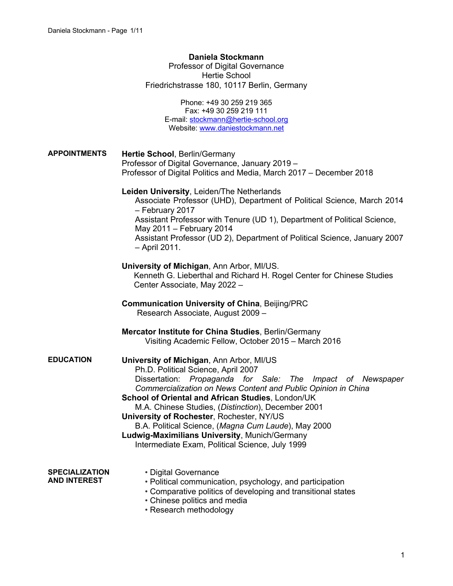## **Daniela Stockmann**

Professor of Digital Governance Hertie School Friedrichstrasse 180, 10117 Berlin, Germany

> Phone: +49 30 259 219 365 Fax: +49 30 259 219 111 E-mail: stockmann@hertie-school.org Website: www.daniestockmann.net

| <b>APPOINTMENTS</b>                          | Hertie School, Berlin/Germany<br>Professor of Digital Governance, January 2019 -<br>Professor of Digital Politics and Media, March 2017 - December 2018                                                                                                                                                                                                                                                                                                                                                                           |
|----------------------------------------------|-----------------------------------------------------------------------------------------------------------------------------------------------------------------------------------------------------------------------------------------------------------------------------------------------------------------------------------------------------------------------------------------------------------------------------------------------------------------------------------------------------------------------------------|
|                                              | Leiden University, Leiden/The Netherlands<br>Associate Professor (UHD), Department of Political Science, March 2014<br>- February 2017<br>Assistant Professor with Tenure (UD 1), Department of Political Science,<br>May 2011 - February 2014<br>Assistant Professor (UD 2), Department of Political Science, January 2007<br>- April 2011.                                                                                                                                                                                      |
|                                              | University of Michigan, Ann Arbor, MI/US.<br>Kenneth G. Lieberthal and Richard H. Rogel Center for Chinese Studies<br>Center Associate, May 2022 -                                                                                                                                                                                                                                                                                                                                                                                |
|                                              | <b>Communication University of China, Beijing/PRC</b><br>Research Associate, August 2009 -                                                                                                                                                                                                                                                                                                                                                                                                                                        |
|                                              | Mercator Institute for China Studies, Berlin/Germany<br>Visiting Academic Fellow, October 2015 - March 2016                                                                                                                                                                                                                                                                                                                                                                                                                       |
| <b>EDUCATION</b>                             | University of Michigan, Ann Arbor, MI/US<br>Ph.D. Political Science, April 2007<br>Dissertation: Propaganda for Sale: The Impact of Newspaper<br>Commercialization on News Content and Public Opinion in China<br>School of Oriental and African Studies, London/UK<br>M.A. Chinese Studies, (Distinction), December 2001<br>University of Rochester, Rochester, NY/US<br>B.A. Political Science, (Magna Cum Laude), May 2000<br>Ludwig-Maximilians University, Munich/Germany<br>Intermediate Exam, Political Science, July 1999 |
| <b>SPECIALIZATION</b><br><b>AND INTEREST</b> | • Digital Governance<br>• Political communication, psychology, and participation<br>• Comparative politics of developing and transitional states<br>• Chinese politics and media<br>$\sim$ Doggarah mathadalagu                                                                                                                                                                                                                                                                                                                   |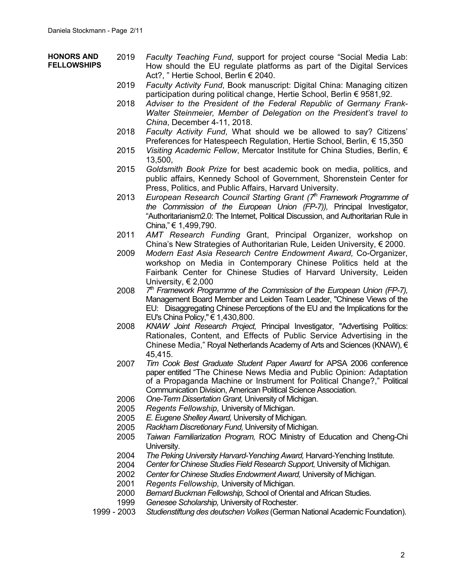## **HONORS AND FELLOWSHIPS**

- 2019 *Faculty Teaching Fund*, support for project course "Social Media Lab: How should the EU regulate platforms as part of the Digital Services Act?, " Hertie School, Berlin € 2040.
	- 2019 *Faculty Activity Fund*, Book manuscript: Digital China: Managing citizen participation during political change, Hertie School, Berlin € 9581,92.
	- 2018 *Adviser to the President of the Federal Republic of Germany Frank-Walter Steinmeier, Member of Delegation on the President's travel to China*, December 4-11, 2018.
	- 2018 *Faculty Activity Fund*, What should we be allowed to say? Citizens' Preferences for Hatespeech Regulation, Hertie School, Berlin, € 15,350
	- 2015 *Visiting Academic Fellow*, Mercator Institute for China Studies, Berlin, € 13,500,
	- 2015 *Goldsmith Book Prize* for best academic book on media, politics, and public affairs, Kennedy School of Government, Shorenstein Center for Press, Politics, and Public Affairs, Harvard University.
	- 2013 *European Research Council Starting Grant (7th Framework Programme of the Commission of the European Union (FP-7)),* Principal Investigator, "Authoritarianism2.0: The Internet, Political Discussion, and Authoritarian Rule in China," € 1,499,790.
	- 2011 *AMT Research Funding* Grant, Principal Organizer, workshop on China's New Strategies of Authoritarian Rule, Leiden University, € 2000.
	- 2009 *Modern East Asia Research Centre Endowment Award,* Co-Organizer, workshop on Media in Contemporary Chinese Politics held at the Fairbank Center for Chinese Studies of Harvard University, Leiden University, € 2,000
	- 2008 *7th Framework Programme of the Commission of the European Union (FP-7),* Management Board Member and Leiden Team Leader, "Chinese Views of the EU: Disaggregating Chinese Perceptions of the EU and the Implications for the EU's China Policy," € 1,430,800.
	- 2008 *KNAW Joint Research Project,* Principal Investigator, "Advertising Politics: Rationales, Content, and Effects of Public Service Advertising in the Chinese Media," Royal Netherlands Academy of Arts and Sciences (KNAW), € 45,415.
	- 2007 *Tim Cook Best Graduate Student Paper Award* for APSA 2006 conference paper entitled "The Chinese News Media and Public Opinion: Adaptation of a Propaganda Machine or Instrument for Political Change?," Political Communication Division, American Political Science Association.
	- 2006 *One-Term Dissertation Grant,* University of Michigan.
	- 2005 *Regents Fellowship,* University of Michigan.
	- 2005 *E. Eugene Shelley Award,* University of Michigan.
	- 2005 *Rackham Discretionary Fund,* University of Michigan.
	- 2005 *Taiwan Familiarization Program,* ROC Ministry of Education and Cheng-Chi University.
	- 2004 *The Peking University Harvard-Yenching Award,* Harvard-Yenching Institute.
	- 2004 *Center for Chinese Studies Field Research Support,* University of Michigan.
	- 2002 *Center for Chinese Studies Endowment Award,* University of Michigan.
	- 2001 *Regents Fellowship,* University of Michigan.
	- 2000 *Bernard Buckman Fellowship,* School of Oriental and African Studies.
	- 1999 *Genesee Scholarship,* University of Rochester.
- 1999 2003 *Studienstiftung des deutschen Volkes* (German National Academic Foundation).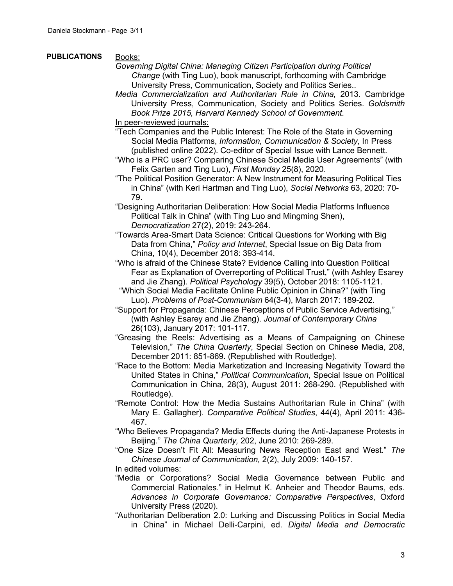## **PUBLICATIONS** Books:

- *Governing Digital China: Managing Citizen Participation during Political Change* (with Ting Luo), book manuscript, forthcoming with Cambridge University Press, Communication, Society and Politics Series..
- *Media Commercialization and Authoritarian Rule in China,* 2013. Cambridge University Press, Communication, Society and Politics Series. *Goldsmith Book Prize 2015, Harvard Kennedy School of Government.*

In peer-reviewed journals:

- "Tech Companies and the Public Interest: The Role of the State in Governing Social Media Platforms, *Information, Communication & Society*, In Press (published online 2022). Co-editor of Special Issue with Lance Bennett.
- "Who is a PRC user? Comparing Chinese Social Media User Agreements" (with Felix Garten and Ting Luo), *First Monday* 25(8), 2020.
- "The Political Position Generator: A New Instrument for Measuring Political Ties in China" (with Keri Hartman and Ting Luo), *Social Networks* 63, 2020: 70- 79.
- "Designing Authoritarian Deliberation: How Social Media Platforms Influence Political Talk in China" (with Ting Luo and Mingming Shen), *Democratization* 27(2), 2019: 243-264.
- "Towards Area-Smart Data Science: Critical Questions for Working with Big Data from China," *Policy and Internet*, Special Issue on Big Data from China, 10(4), December 2018: 393-414.
- "Who is afraid of the Chinese State? Evidence Calling into Question Political Fear as Explanation of Overreporting of Political Trust," (with Ashley Esarey and Jie Zhang). *Political Psychology* 39(5), October 2018: 1105-1121.
- "Which Social Media Facilitate Online Public Opinion in China?" (with Ting Luo). *Problems of Post-Communism* 64(3-4), March 2017: 189-202.
- "Support for Propaganda: Chinese Perceptions of Public Service Advertising," (with Ashley Esarey and Jie Zhang). *Journal of Contemporary China* 26(103), January 2017: 101-117.
- "Greasing the Reels: Advertising as a Means of Campaigning on Chinese Television," *The China Quarterly*, Special Section on Chinese Media, 208, December 2011: 851-869. (Republished with Routledge).
- "Race to the Bottom: Media Marketization and Increasing Negativity Toward the United States in China," *Political Communication*, Special Issue on Political Communication in China*,* 28(3), August 2011: 268-290. (Republished with Routledge).
- "Remote Control: How the Media Sustains Authoritarian Rule in China" (with Mary E. Gallagher). *Comparative Political Studies*, 44(4), April 2011: 436- 467.
- "Who Believes Propaganda? Media Effects during the Anti-Japanese Protests in Beijing." *The China Quarterly,* 202, June 2010: 269-289.
- "One Size Doesn't Fit All: Measuring News Reception East and West." *The Chinese Journal of Communication,* 2(2), July 2009: 140-157.

In edited volumes:

- "Media or Corporations? Social Media Governance between Public and Commercial Rationales." in Helmut K. Anheier and Theodor Baums, eds. *Advances in Corporate Governance: Comparative Perspectives*, Oxford University Press (2020).
- "Authoritarian Deliberation 2.0: Lurking and Discussing Politics in Social Media in China" in Michael Delli-Carpini, ed. *Digital Media and Democratic*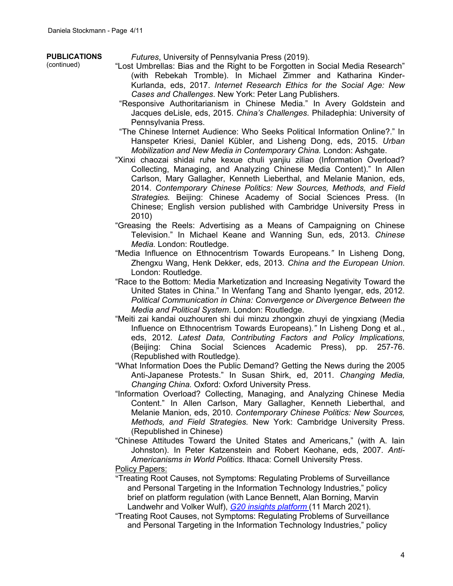## **PUBLICATIONS**

(continued)

*Futures*, University of Pennsylvania Press (2019).

- "Lost Umbrellas: Bias and the Right to be Forgotten in Social Media Research" (with Rebekah Tromble). In Michael Zimmer and Katharina Kinder-Kurlanda, eds, 2017. *Internet Research Ethics for the Social Age: New Cases and Challenges*. New York: Peter Lang Publishers.
- "Responsive Authoritarianism in Chinese Media." In Avery Goldstein and Jacques deLisle, eds, 2015. *China's Challenges*. Philadephia: University of Pennsylvania Press.
- "The Chinese Internet Audience: Who Seeks Political Information Online?." In Hanspeter Kriesi, Daniel Kübler, and Lisheng Dong, eds, 2015. *Urban Mobilization and New Media in Contemporary China.* London: Ashgate.
- "Xinxi chaozai shidai ruhe kexue chuli yanjiu ziliao (Information Overload? Collecting, Managing, and Analyzing Chinese Media Content)." In Allen Carlson, Mary Gallagher, Kenneth Lieberthal, and Melanie Manion, eds, 2014. *Contemporary Chinese Politics: New Sources, Methods, and Field Strategies.* Beijing: Chinese Academy of Social Sciences Press. (In Chinese; English version published with Cambridge University Press in 2010)
- "Greasing the Reels: Advertising as a Means of Campaigning on Chinese Television." In Michael Keane and Wanning Sun, eds, 2013. *Chinese Media.* London: Routledge.
- "Media Influence on Ethnocentrism Towards Europeans*."* In Lisheng Dong, Zhengxu Wang, Henk Dekker, eds, 2013. *China and the European Union*. London: Routledge.
- "Race to the Bottom: Media Marketization and Increasing Negativity Toward the United States in China." In Wenfang Tang and Shanto Iyengar, eds, 2012. *Political Communication in China: Convergence or Divergence Between the Media and Political System*. London: Routledge.
- "Meiti zai kandai ouzhouren shi dui minzu zhongxin zhuyi de yingxiang (Media Influence on Ethnocentrism Towards Europeans)*."* In Lisheng Dong et al., eds, 2012. *Latest Data, Contributing Factors and Policy Implications,*  (Beijing: China Social Sciences Academic Press), pp. 257-76. (Republished with Routledge).
- "What Information Does the Public Demand? Getting the News during the 2005 Anti-Japanese Protests." In Susan Shirk, ed, 2011. *Changing Media, Changing China.* Oxford: Oxford University Press.
- "Information Overload? Collecting, Managing, and Analyzing Chinese Media Content." In Allen Carlson, Mary Gallagher, Kenneth Lieberthal, and Melanie Manion, eds, 2010. *Contemporary Chinese Politics: New Sources, Methods, and Field Strategies.* New York: Cambridge University Press. (Republished in Chinese)
- "Chinese Attitudes Toward the United States and Americans," (with A. Iain Johnston). In Peter Katzenstein and Robert Keohane, eds, 2007. *Anti-Americanisms in World Politics*. Ithaca: Cornell University Press.

Policy Papers:

- "Treating Root Causes, not Symptoms: Regulating Problems of Surveillance and Personal Targeting in the Information Technology Industries," policy brief on platform regulation (with Lance Bennett, Alan Borning, Marvin Landwehr and Volker Wulf), *G20 insights platform* (11 March 2021).
- "Treating Root Causes, not Symptoms: Regulating Problems of Surveillance and Personal Targeting in the Information Technology Industries," policy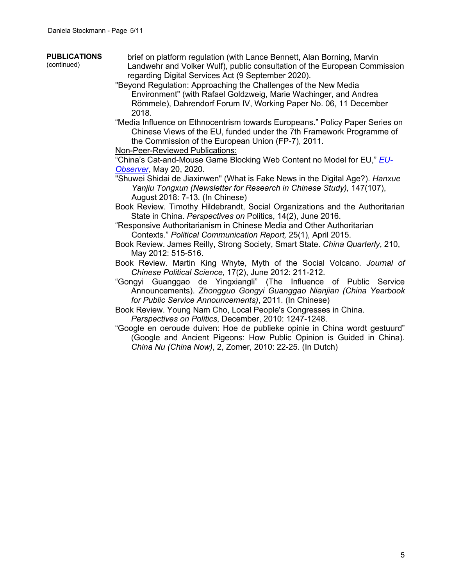- **PUBLICATIONS** (continued) brief on platform regulation (with Lance Bennett, Alan Borning, Marvin Landwehr and Volker Wulf), public consultation of the European Commission regarding Digital Services Act (9 September 2020). "Beyond Regulation: Approaching the Challenges of the New Media Environment" (with Rafael Goldzweig, Marie Wachinger, and Andrea Römmele), Dahrendorf Forum IV, Working Paper No. 06, 11 December 2018. "Media Influence on Ethnocentrism towards Europeans." Policy Paper Series on Chinese Views of the EU, funded under the 7th Framework Programme of the Commission of the European Union (FP-7), 2011. Non-Peer-Reviewed Publications: "China's Cat-and-Mouse Game Blocking Web Content no Model for EU," *EU-Observer*, May 20, 2020.
	- "Shuwei Shidai de Jiaxinwen" (What is Fake News in the Digital Age?). *Hanxue Yanjiu Tongxun (Newsletter for Research in Chinese Study),* 147(107), August 2018: 7-13*.* (In Chinese)
	- Book Review. Timothy Hildebrandt, Social Organizations and the Authoritarian State in China. *Perspectives on* Politics, 14(2), June 2016.
	- "Responsive Authoritarianism in Chinese Media and Other Authoritarian Contexts." *Political Communication Report,* 25(1), April 2015.
	- Book Review. James Reilly, Strong Society, Smart State. *China Quarterly*, 210, May 2012: 515-516.
	- Book Review. Martin King Whyte, Myth of the Social Volcano. *Journal of Chinese Political Science*, 17(2), June 2012: 211-212.
	- "Gongyi Guanggao de Yingxiangli" (The Influence of Public Service Announcements). *Zhongguo Gongyi Guanggao Nianjian (China Yearbook for Public Service Announcements)*, 2011. (In Chinese)
	- Book Review. Young Nam Cho, Local People's Congresses in China. *Perspectives on Politics*, December, 2010: 1247-1248.
	- "Google en oeroude duiven: Hoe de publieke opinie in China wordt gestuurd" (Google and Ancient Pigeons: How Public Opinion is Guided in China). *China Nu (China Now)*, 2, Zomer, 2010: 22-25. (In Dutch)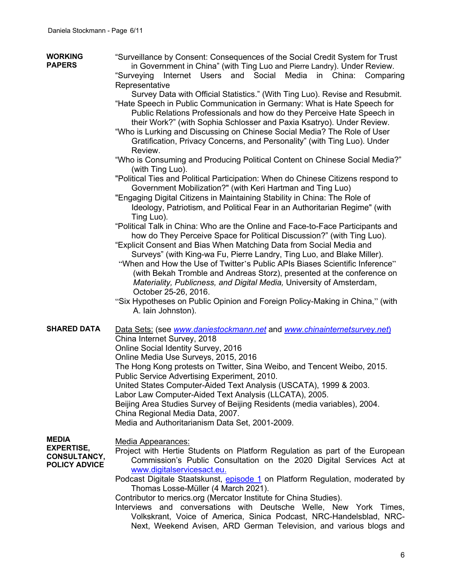| <b>WORKING</b><br><b>PAPERS</b>                                  | "Surveillance by Consent: Consequences of the Social Credit System for Trust<br>in Government in China" (with Ting Luo and Pierre Landry). Under Review.<br>"Surveying Internet Users<br>and Social Media in China: Comparing |
|------------------------------------------------------------------|-------------------------------------------------------------------------------------------------------------------------------------------------------------------------------------------------------------------------------|
|                                                                  | Representative                                                                                                                                                                                                                |
|                                                                  | Survey Data with Official Statistics." (With Ting Luo). Revise and Resubmit.                                                                                                                                                  |
|                                                                  | "Hate Speech in Public Communication in Germany: What is Hate Speech for                                                                                                                                                      |
|                                                                  | Public Relations Professionals and how do they Perceive Hate Speech in                                                                                                                                                        |
|                                                                  | their Work?" (with Sophia Schlosser and Paxia Ksatryo). Under Review.                                                                                                                                                         |
|                                                                  | "Who is Lurking and Discussing on Chinese Social Media? The Role of User<br>Gratification, Privacy Concerns, and Personality" (with Ting Luo). Under<br>Review.                                                               |
|                                                                  | "Who is Consuming and Producing Political Content on Chinese Social Media?"<br>(with Ting Luo).                                                                                                                               |
|                                                                  | "Political Ties and Political Participation: When do Chinese Citizens respond to                                                                                                                                              |
|                                                                  | Government Mobilization?" (with Keri Hartman and Ting Luo)                                                                                                                                                                    |
|                                                                  | "Engaging Digital Citizens in Maintaining Stability in China: The Role of                                                                                                                                                     |
|                                                                  | Ideology, Patriotism, and Political Fear in an Authoritarian Regime" (with<br>Ting Luo).                                                                                                                                      |
|                                                                  | "Political Talk in China: Who are the Online and Face-to-Face Participants and                                                                                                                                                |
|                                                                  | how do They Perceive Space for Political Discussion?" (with Ting Luo).                                                                                                                                                        |
|                                                                  | "Explicit Consent and Bias When Matching Data from Social Media and                                                                                                                                                           |
|                                                                  | Surveys" (with King-wa Fu, Pierre Landry, Ting Luo, and Blake Miller).                                                                                                                                                        |
|                                                                  | "When and How the Use of Twitter's Public APIs Biases Scientific Inference"                                                                                                                                                   |
|                                                                  | (with Bekah Tromble and Andreas Storz), presented at the conference on                                                                                                                                                        |
|                                                                  | Materiality, Publicness, and Digital Media, University of Amsterdam,                                                                                                                                                          |
|                                                                  | October 25-26, 2016.                                                                                                                                                                                                          |
|                                                                  | "Six Hypotheses on Public Opinion and Foreign Policy-Making in China," (with<br>A. lain Johnston).                                                                                                                            |
| <b>SHARED DATA</b>                                               | Data Sets: (see www.daniestockmann.net and www.chinainternetsurvey.net)                                                                                                                                                       |
|                                                                  | China Internet Survey, 2018                                                                                                                                                                                                   |
|                                                                  | Online Social Identity Survey, 2016                                                                                                                                                                                           |
|                                                                  | Online Media Use Surveys, 2015, 2016                                                                                                                                                                                          |
|                                                                  | The Hong Kong protests on Twitter, Sina Weibo, and Tencent Weibo, 2015.<br>Public Service Advertising Experiment, 2010.                                                                                                       |
|                                                                  | United States Computer-Aided Text Analysis (USCATA), 1999 & 2003.                                                                                                                                                             |
|                                                                  | Labor Law Computer-Aided Text Analysis (LLCATA), 2005.                                                                                                                                                                        |
|                                                                  | Beijing Area Studies Survey of Beijing Residents (media variables), 2004.                                                                                                                                                     |
|                                                                  | China Regional Media Data, 2007.                                                                                                                                                                                              |
|                                                                  | Media and Authoritarianism Data Set, 2001-2009.                                                                                                                                                                               |
|                                                                  |                                                                                                                                                                                                                               |
| <b>MEDIA</b>                                                     | Media Appearances:                                                                                                                                                                                                            |
| <b>EXPERTISE,</b><br><b>CONSULTANCY,</b><br><b>POLICY ADVICE</b> | Project with Hertie Students on Platform Regulation as part of the European                                                                                                                                                   |
|                                                                  | Commission's Public Consultation on the 2020 Digital Services Act at                                                                                                                                                          |
|                                                                  | www.digitalservicesact.eu.                                                                                                                                                                                                    |
|                                                                  | Podcast Digitale Staatskunst, episode 1 on Platform Regulation, moderated by                                                                                                                                                  |
|                                                                  | Thomas Losse-Müller (4 March 2021).                                                                                                                                                                                           |
|                                                                  | Contributor to merics.org (Mercator Institute for China Studies).                                                                                                                                                             |
|                                                                  | Interviews and conversations with Deutsche Welle. New York Times.                                                                                                                                                             |

Interviews and conversations with Deutsche Welle, New York Times, Volkskrant, Voice of America, Sinica Podcast, NRC-Handelsblad, NRC-Next, Weekend Avisen, ARD German Television, and various blogs and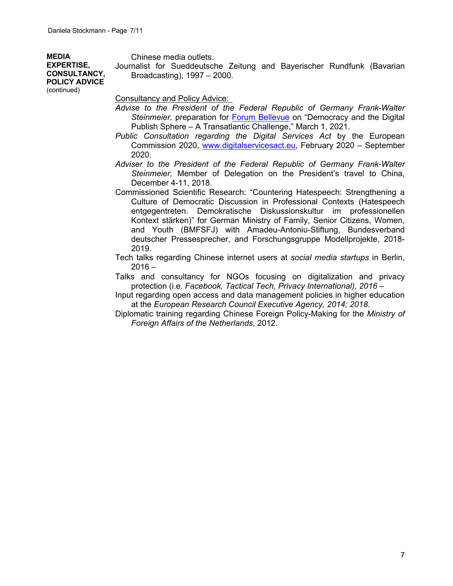**MEDIA EXPERTISE, CONSULTANCY, POLICY ADVICE** Chinese media outlets.

Journalist for Sueddeutsche Zeitung and Bayerischer Rundfunk (Bavarian Broadcasting), 1997 – 2000.

(continued)

Consultancy and Policy Advice:

- *Advise to the President of the Federal Republic of Germany Frank-Walter*  Steinmeier, preparation for **Forum Bellevue** on "Democracy and the Digital Publish Sphere – A Transatlantic Challenge," March 1, 2021.
- *Public Consultation regarding the Digital Services Act* by the European Commission 2020, www.digitalservicesact.eu, February 2020 – September 2020.
- *Adviser to the President of the Federal Republic of Germany Frank-Walter Steinmeier,* Member of Delegation on the President's travel to China, December 4-11, 2018.
- Commissioned Scientific Research: "Countering Hatespeech: Strengthening a Culture of Democratic Discussion in Professional Contexts (Hatespeech entgegentreten. Demokratische Diskussionskultur im professionellen Kontext stärken)" for German Ministry of Family, Senior Citizens, Women, and Youth (BMFSFJ) with Amadeu-Antoniu-Stiftung, Bundesverband deutscher Pressesprecher, and Forschungsgruppe Modellprojekte, 2018- 2019.
- Tech talks regarding Chinese internet users at *social media startups* in Berlin,  $2016 -$
- Talks and consultancy for NGOs focusing on digitalization and privacy protection (i.e. *Facebook, Tactical Tech, Privacy International), 2016 –*
- Input regarding open access and data management policies in higher education at the *European Research Council Executive Agency, 2014; 2018.*
- Diplomatic training regarding Chinese Foreign Policy-Making for the *Ministry of Foreign Affairs of the Netherlands*, 2012.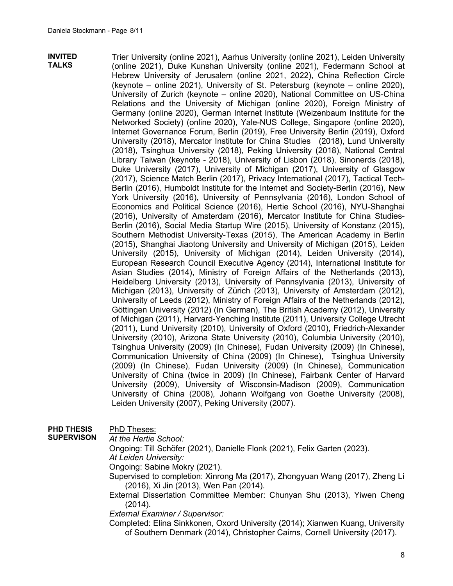**INVITED TALKS** Trier University (online 2021), Aarhus University (online 2021), Leiden University (online 2021), Duke Kunshan University (online 2021), Federmann School at Hebrew University of Jerusalem (online 2021, 2022), China Reflection Circle (keynote – online 2021), University of St. Petersburg (keynote – online 2020), University of Zurich (keynote – online 2020), National Committee on US-China Relations and the University of Michigan (online 2020), Foreign Ministry of Germany (online 2020), German Internet Institute (Weizenbaum Institute for the Networked Society) (online 2020), Yale-NUS College, Singapore (online 2020), Internet Governance Forum, Berlin (2019), Free University Berlin (2019), Oxford University (2018), Mercator Institute for China Studies (2018), Lund University (2018), Tsinghua University (2018), Peking University (2018), National Central Library Taiwan (keynote - 2018), University of Lisbon (2018), Sinonerds (2018), Duke University (2017), University of Michigan (2017), University of Glasgow (2017), Science Match Berlin (2017), Privacy International (2017), Tactical Tech-Berlin (2016), Humboldt Institute for the Internet and Society-Berlin (2016), New York University (2016), University of Pennsylvania (2016), London School of Economics and Political Science (2016), Hertie School (2016), NYU-Shanghai (2016), University of Amsterdam (2016), Mercator Institute for China Studies-Berlin (2016), Social Media Startup Wire (2015), University of Konstanz (2015), Southern Methodist University-Texas (2015), The American Academy in Berlin (2015), Shanghai Jiaotong University and University of Michigan (2015), Leiden University (2015), University of Michigan (2014), Leiden University (2014), European Research Council Executive Agency (2014), International Institute for Asian Studies (2014), Ministry of Foreign Affairs of the Netherlands (2013), Heidelberg University (2013), University of Pennsylvania (2013), University of Michigan (2013), University of Zürich (2013), University of Amsterdam (2012), University of Leeds (2012), Ministry of Foreign Affairs of the Netherlands (2012), Göttingen University (2012) (In German), The British Academy (2012), University of Michigan (2011), Harvard-Yenching Institute (2011), University College Utrecht (2011), Lund University (2010), University of Oxford (2010), Friedrich-Alexander University (2010), Arizona State University (2010), Columbia University (2010), Tsinghua University (2009) (In Chinese), Fudan University (2009) (In Chinese), Communication University of China (2009) (In Chinese), Tsinghua University (2009) (In Chinese), Fudan University (2009) (In Chinese), Communication University of China (twice in 2009) (In Chinese), Fairbank Center of Harvard University (2009), University of Wisconsin-Madison (2009), Communication University of China (2008), Johann Wolfgang von Goethe University (2008), Leiden University (2007), Peking University (2007).

**PHD THESIS**  PhD Theses:

**SUPERVISON** *At the Hertie School:*

Ongoing: Till Schöfer (2021), Danielle Flonk (2021), Felix Garten (2023).

*At Leiden University:*

Ongoing: Sabine Mokry (2021).

Supervised to completion: Xinrong Ma (2017), Zhongyuan Wang (2017), Zheng Li (2016), Xi Jin (2013), Wen Pan (2014).

External Dissertation Committee Member: Chunyan Shu (2013), Yiwen Cheng (2014).

*External Examiner / Supervisor:* 

Completed: Elina Sinkkonen, Oxord University (2014); Xianwen Kuang, University of Southern Denmark (2014), Christopher Cairns, Cornell University (2017).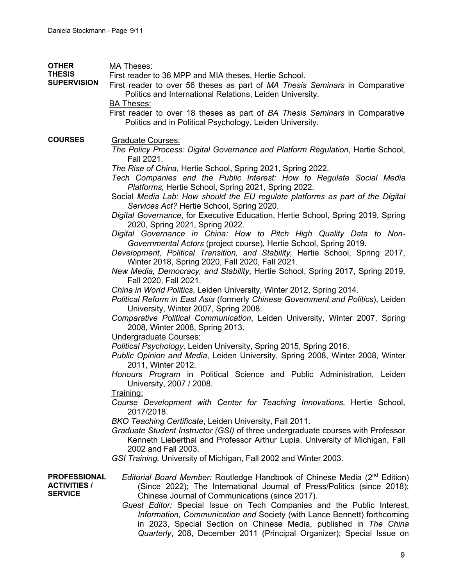| <b>OTHER</b><br><b>THESIS</b><br><b>SUPERVISION</b>          | <b>MA Theses:</b><br>First reader to 36 MPP and MIA theses, Hertie School.<br>First reader to over 56 theses as part of MA Thesis Seminars in Comparative<br>Politics and International Relations, Leiden University.<br><b>BA Theses:</b><br>First reader to over 18 theses as part of BA Thesis Seminars in Comparative<br>Politics and in Political Psychology, Leiden University.                                                                                                                                                                                                                                                                                                                                                                                                                                                                                                                                                                                                                                                                                                                                                                                                                                                                                                                                                                                                                                                                                                                                                                                                                                                                                                                                                                                                                                                                                                                                                                                                                                                                 |
|--------------------------------------------------------------|-------------------------------------------------------------------------------------------------------------------------------------------------------------------------------------------------------------------------------------------------------------------------------------------------------------------------------------------------------------------------------------------------------------------------------------------------------------------------------------------------------------------------------------------------------------------------------------------------------------------------------------------------------------------------------------------------------------------------------------------------------------------------------------------------------------------------------------------------------------------------------------------------------------------------------------------------------------------------------------------------------------------------------------------------------------------------------------------------------------------------------------------------------------------------------------------------------------------------------------------------------------------------------------------------------------------------------------------------------------------------------------------------------------------------------------------------------------------------------------------------------------------------------------------------------------------------------------------------------------------------------------------------------------------------------------------------------------------------------------------------------------------------------------------------------------------------------------------------------------------------------------------------------------------------------------------------------------------------------------------------------------------------------------------------------|
| <b>COURSES</b>                                               | <b>Graduate Courses:</b><br>The Policy Process: Digital Governance and Platform Regulation, Hertie School,<br>Fall 2021.<br>The Rise of China, Hertie School, Spring 2021, Spring 2022.<br>Tech Companies and the Public Interest: How to Regulate Social Media<br>Platforms, Hertie School, Spring 2021, Spring 2022.<br>Social Media Lab: How should the EU regulate platforms as part of the Digital<br>Services Act? Hertie School, Spring 2020.<br>Digital Governance, for Executive Education, Hertie School, Spring 2019, Spring<br>2020, Spring 2021, Spring 2022.<br>Digital Governance in China: How to Pitch High Quality Data to Non-<br>Governmental Actors (project course), Hertie School, Spring 2019.<br>Development, Political Transition, and Stability, Hertie School, Spring 2017,<br>Winter 2018, Spring 2020, Fall 2020, Fall 2021.<br>New Media, Democracy, and Stability, Hertie School, Spring 2017, Spring 2019,<br>Fall 2020, Fall 2021.<br>China in World Politics, Leiden University, Winter 2012, Spring 2014.<br>Political Reform in East Asia (formerly Chinese Government and Politics), Leiden<br>University, Winter 2007, Spring 2008.<br>Comparative Political Communication, Leiden University, Winter 2007, Spring<br>2008, Winter 2008, Spring 2013.<br><b>Undergraduate Courses:</b><br>Political Psychology, Leiden University, Spring 2015, Spring 2016.<br>Public Opinion and Media, Leiden University, Spring 2008, Winter 2008, Winter<br>2011, Winter 2012.<br>Honours Program in Political Science and Public Administration, Leiden<br>University, 2007 / 2008.<br><u>Training:</u><br>Course Development with Center for Teaching Innovations, Hertie School,<br>2017/2018.<br>BKO Teaching Certificate, Leiden University, Fall 2011.<br>Graduate Student Instructor (GSI) of three undergraduate courses with Professor<br>Kenneth Lieberthal and Professor Arthur Lupia, University of Michigan, Fall<br>2002 and Fall 2003.<br>GSI Training, University of Michigan, Fall 2002 and Winter 2003. |
| <b>PROFESSIONAL</b><br><b>ACTIVITIES /</b><br><b>SERVICE</b> | Editorial Board Member: Routledge Handbook of Chinese Media (2 <sup>nd</sup> Edition)<br>(Since 2022); The International Journal of Press/Politics (since 2018);<br>Chinese Journal of Communications (since 2017).<br>Guest Editor: Special Issue on Tech Companies and the Public Interest,<br>Information, Communication and Society (with Lance Bennett) forthcoming<br>in 2023, Special Section on Chinese Media, published in The China<br>Quarterly, 208, December 2011 (Principal Organizer); Special Issue on                                                                                                                                                                                                                                                                                                                                                                                                                                                                                                                                                                                                                                                                                                                                                                                                                                                                                                                                                                                                                                                                                                                                                                                                                                                                                                                                                                                                                                                                                                                                |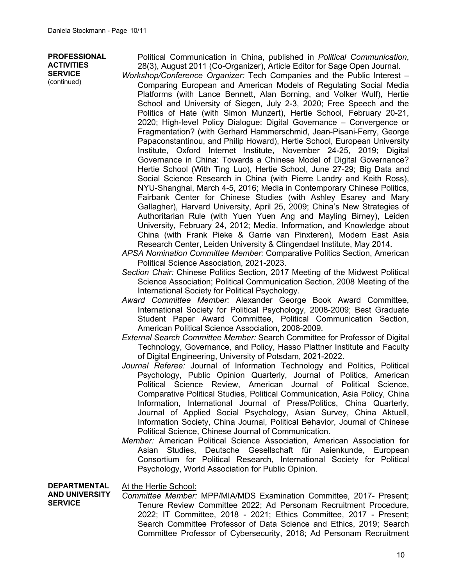**PROFESSIONAL ACTIVITIES SERVICE** (continued)

Political Communication in China, published in *Political Communication*, 28(3), August 2011 (Co-Organizer), Article Editor for Sage Open Journal.

*Workshop/Conference Organizer:* Tech Companies and the Public Interest – Comparing European and American Models of Regulating Social Media Platforms (with Lance Bennett, Alan Borning, and Volker Wulf), Hertie School and University of Siegen, July 2-3, 2020; Free Speech and the Politics of Hate (with Simon Munzert), Hertie School, February 20-21, 2020; High-level Policy Dialogue: Digital Governance – Convergence or Fragmentation? (with Gerhard Hammerschmid, Jean-Pisani-Ferry, George Papaconstantinou, and Philip Howard), Hertie School, European University Institute, Oxford Internet Institute, November 24-25, 2019; Digital Governance in China: Towards a Chinese Model of Digital Governance? Hertie School (With Ting Luo), Hertie School, June 27-29; Big Data and Social Science Research in China (with Pierre Landry and Keith Ross), NYU-Shanghai, March 4-5, 2016; Media in Contemporary Chinese Politics, Fairbank Center for Chinese Studies (with Ashley Esarey and Mary Gallagher), Harvard University, April 25, 2009; China's New Strategies of Authoritarian Rule (with Yuen Yuen Ang and Mayling Birney), Leiden University, February 24, 2012; Media, Information, and Knowledge about China (with Frank Pieke & Garrie van Pinxteren), Modern East Asia Research Center, Leiden University & Clingendael Institute, May 2014.

- *APSA Nomination Committee Member:* Comparative Politics Section, American Political Science Association, 2021-2023.
- *Section Chair:* Chinese Politics Section, 2017 Meeting of the Midwest Political Science Association; Political Communication Section, 2008 Meeting of the International Society for Political Psychology.
- *Award Committee Member:* Alexander George Book Award Committee, International Society for Political Psychology, 2008-2009; Best Graduate Student Paper Award Committee, Political Communication Section, American Political Science Association, 2008-2009.
- *External Search Committee Member:* Search Committee for Professor of Digital Technology, Governance, and Policy, Hasso Plattner Institute and Faculty of Digital Engineering, University of Potsdam, 2021-2022.
- *Journal Referee:* Journal of Information Technology and Politics, Political Psychology, Public Opinion Quarterly, Journal of Politics, American Political Science Review, American Journal of Political Science, Comparative Political Studies, Political Communication, Asia Policy, China Information, International Journal of Press/Politics, China Quarterly, Journal of Applied Social Psychology, Asian Survey, China Aktuell, Information Society, China Journal, Political Behavior, Journal of Chinese Political Science, Chinese Journal of Communication.
- *Member:* American Political Science Association, American Association for Asian Studies, Deutsche Gesellschaft für Asienkunde, European Consortium for Political Research, International Society for Political Psychology, World Association for Public Opinion.

**DEPARTMENTAL**  At the Hertie School:

**AND UNIVERSITY SERVICE** *Committee Member:* MPP/MIA/MDS Examination Committee, 2017- Present; Tenure Review Committee 2022; Ad Personam Recruitment Procedure, 2022; IT Committee, 2018 - 2021; Ethics Committee, 2017 - Present; Search Committee Professor of Data Science and Ethics, 2019; Search Committee Professor of Cybersecurity, 2018; Ad Personam Recruitment